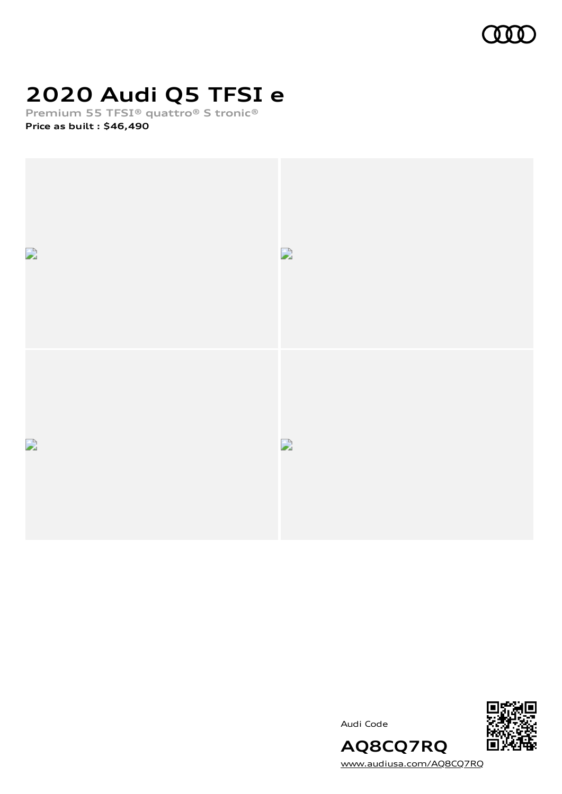

# **2020 Audi Q5 TFSI e**

**Premium 55 TFSI® quattro® S tronic®**

**Price as built [:](#page-8-0) \$46,490**







[www.audiusa.com/AQ8CQ7RQ](https://www.audiusa.com/AQ8CQ7RQ)

**AQ8CQ7RQ**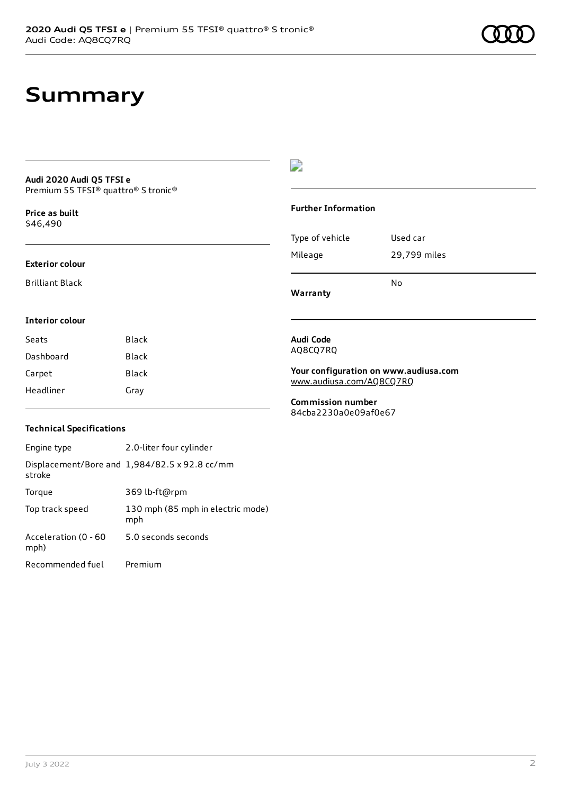# **Summary**

#### **Audi 2020 Audi Q5 TFSI e** Premium 55 TFSI® quattro® S tronic®

**Price as buil[t](#page-8-0)** \$46,490

#### **Exterior colour**

Brilliant Black

## $\overline{\phantom{a}}$

### **Further Information**

|                 | N٥           |
|-----------------|--------------|
| Mileage         | 29,799 miles |
| Type of vehicle | Used car     |

**Warranty**

#### **Interior colour**

| Seats     | <b>Black</b> |
|-----------|--------------|
| Dashboard | Black        |
| Carpet    | Black        |
| Headliner | Gray         |

#### **Audi Code** AQ8CQ7RQ

**Your configuration on www.audiusa.com** [www.audiusa.com/AQ8CQ7RQ](https://www.audiusa.com/AQ8CQ7RQ)

**Commission number** 84cba2230a0e09af0e67

## **Technical Specifications**

| Engine type                  | 2.0-liter four cylinder                       |
|------------------------------|-----------------------------------------------|
| stroke                       | Displacement/Bore and 1,984/82.5 x 92.8 cc/mm |
| Torque                       | 369 lb-ft@rpm                                 |
| Top track speed              | 130 mph (85 mph in electric mode)<br>mph      |
| Acceleration (0 - 60<br>mph) | 5.0 seconds seconds                           |
| Recommended fuel             | Premium                                       |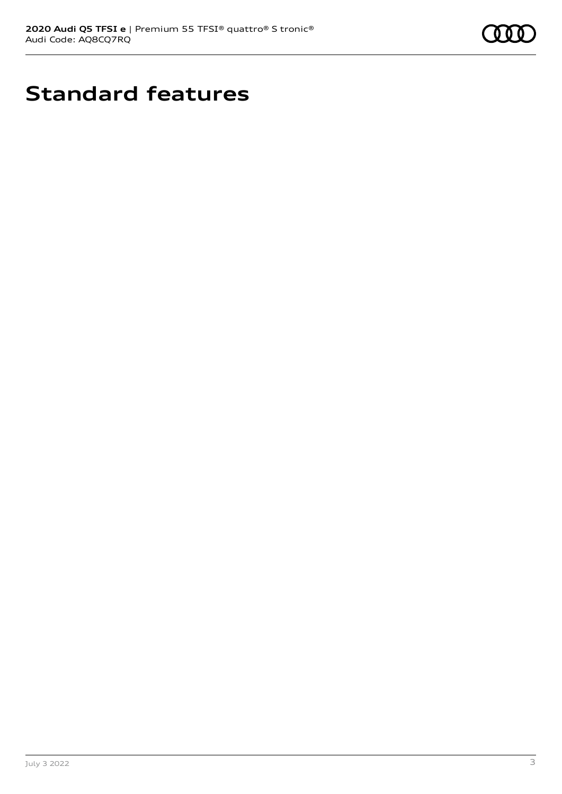

# **Standard features**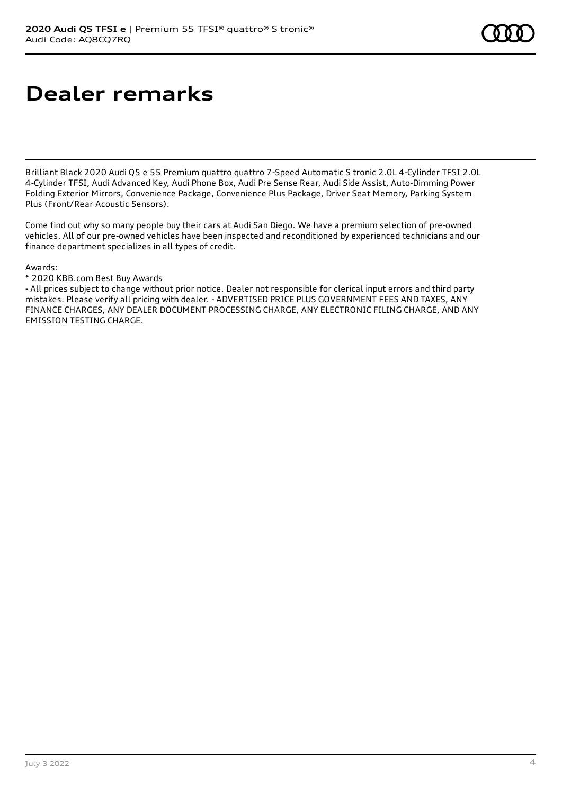# **Dealer remarks**

Brilliant Black 2020 Audi Q5 e 55 Premium quattro quattro 7-Speed Automatic S tronic 2.0L 4-Cylinder TFSI 2.0L 4-Cylinder TFSI, Audi Advanced Key, Audi Phone Box, Audi Pre Sense Rear, Audi Side Assist, Auto-Dimming Power Folding Exterior Mirrors, Convenience Package, Convenience Plus Package, Driver Seat Memory, Parking System Plus (Front/Rear Acoustic Sensors).

Come find out why so many people buy their cars at Audi San Diego. We have a premium selection of pre-owned vehicles. All of our pre-owned vehicles have been inspected and reconditioned by experienced technicians and our finance department specializes in all types of credit.

Awards:

\* 2020 KBB.com Best Buy Awards

- All prices subject to change without prior notice. Dealer not responsible for clerical input errors and third party mistakes. Please verify all pricing with dealer. - ADVERTISED PRICE PLUS GOVERNMENT FEES AND TAXES, ANY FINANCE CHARGES, ANY DEALER DOCUMENT PROCESSING CHARGE, ANY ELECTRONIC FILING CHARGE, AND ANY EMISSION TESTING CHARGE.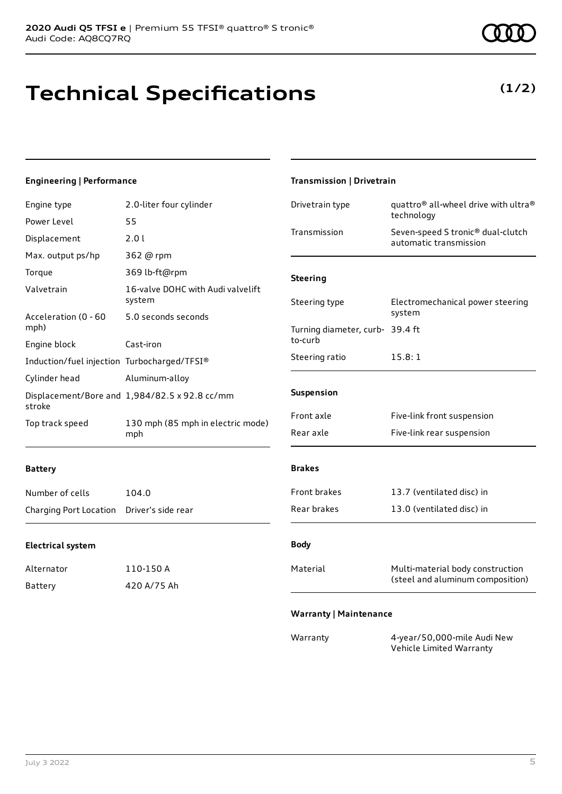**Technical Specifications**

### **Engineering | Performance**

| Engine type                                 | 2.0-liter four cylinder                       | Drivetrain type                 | quattro <sup>®</sup> all-wheel drive with ultra <sup>®</sup><br>technology |
|---------------------------------------------|-----------------------------------------------|---------------------------------|----------------------------------------------------------------------------|
| Power Level                                 | 55                                            |                                 |                                                                            |
| Displacement                                | 2.01                                          | Transmission                    | Seven-speed S tronic® dual-clutch<br>automatic transmission                |
| Max. output ps/hp                           | 362 @ rpm                                     |                                 |                                                                            |
| Torque                                      | 369 lb-ft@rpm                                 | <b>Steering</b>                 |                                                                            |
| Valvetrain                                  | 16-valve DOHC with Audi valvelift<br>system   | Steering type                   | Electromechanical power steering                                           |
| Acceleration (0 - 60                        | 5.0 seconds seconds                           |                                 | system                                                                     |
| mph)                                        |                                               | Turning diameter, curb- 39.4 ft |                                                                            |
| Engine block                                | Cast-iron                                     | to-curb                         |                                                                            |
| Induction/fuel injection Turbocharged/TFSI® |                                               | Steering ratio                  | 15.8:1                                                                     |
| Cylinder head                               | Aluminum-alloy                                |                                 |                                                                            |
| stroke                                      | Displacement/Bore and 1,984/82.5 x 92.8 cc/mm | Suspension                      |                                                                            |
| Top track speed                             | 130 mph (85 mph in electric mode)             | Front axle                      | Five-link front suspension                                                 |
|                                             | mph                                           | Rear axle                       | Five-link rear suspension                                                  |
| <b>Battery</b>                              |                                               | <b>Brakes</b>                   |                                                                            |
| Number of cells                             | 104.0                                         | Front brakes                    | 13.7 (ventilated disc) in                                                  |
| Charging Port Location                      | Driver's side rear                            | Rear brakes                     | 13.0 (ventilated disc) in                                                  |
| <b>Electrical system</b>                    |                                               | <b>Body</b>                     |                                                                            |
| Alternator                                  | 110-150 A                                     | Material                        | Multi-material body construction                                           |
| <b>Battery</b>                              | 420 A/75 Ah                                   |                                 | (steel and aluminum composition)                                           |
|                                             |                                               | <b>Warranty   Maintenance</b>   |                                                                            |
|                                             |                                               | Warranty                        | 4-year/50,000-mile Audi New<br>Vehicle Limited Warranty                    |

**Transmission | Drivetrain**

## **(1/2)**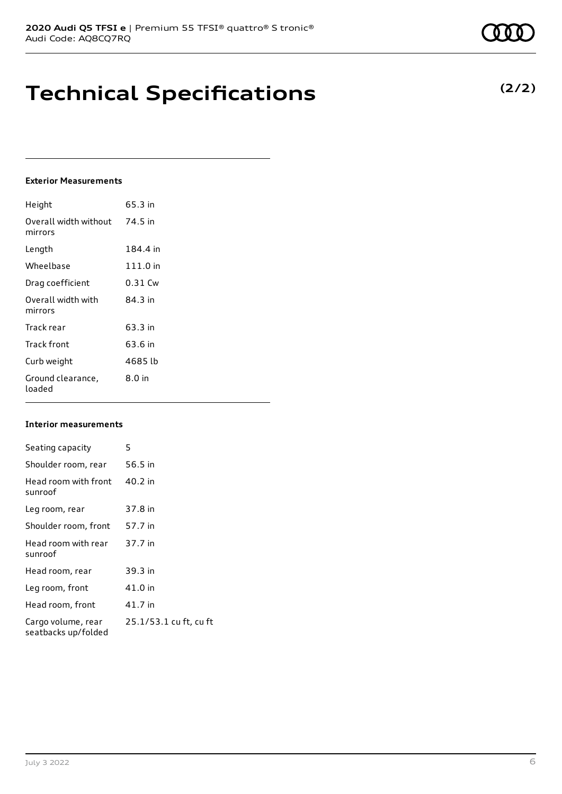# **Technical Specifications**

## **Exterior Measurements**

| Height                           | 65.3 in   |
|----------------------------------|-----------|
| Overall width without<br>mirrors | 74.5 in   |
| Length                           | 184.4 in  |
| Wheelbase                        | 111.0 in  |
| Drag coefficient                 | $0.31$ Cw |
| Overall width with<br>mirrors    | 84.3 in   |
| Track rear                       | 63.3 in   |
| Track front                      | 63.6 in   |
| Curb weight                      | 4685 lb   |
| Ground clearance,<br>loaded      | $8.0$ in  |

### **Interior measurements**

| Seating capacity                          | 5                      |
|-------------------------------------------|------------------------|
| Shoulder room, rear                       | 56.5 in                |
| Head room with front<br>sunroof           | 40.2 in                |
| Leg room, rear                            | 37.8 in                |
| Shoulder room, front                      | 57.7 in                |
| Head room with rear<br>sunroof            | 37.7 in                |
| Head room, rear                           | 39.3 in                |
| Leg room, front                           | 41.0 in                |
| Head room, front                          | 41.7 in                |
| Cargo volume, rear<br>seatbacks up/folded | 25.1/53.1 cu ft, cu ft |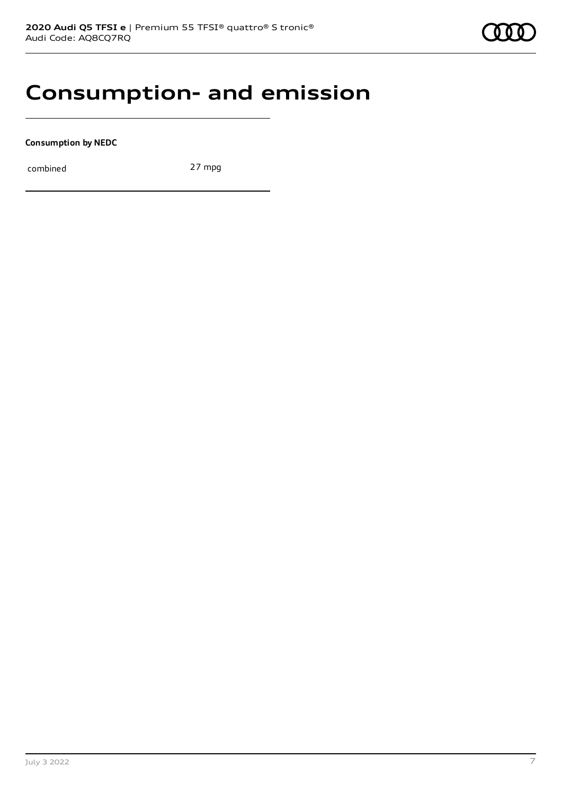

## **Consumption- and emission**

**Consumption by NEDC**

combined 27 mpg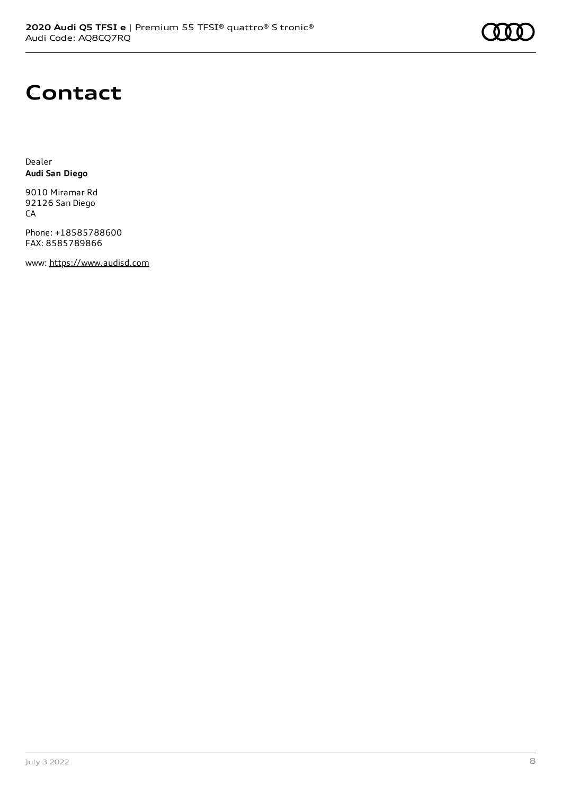

# **Contact**

Dealer **Audi San Diego**

9010 Miramar Rd 92126 San Diego CA

Phone: +18585788600 FAX: 8585789866

www: [https://www.audisd.com](https://www.audisd.com/)